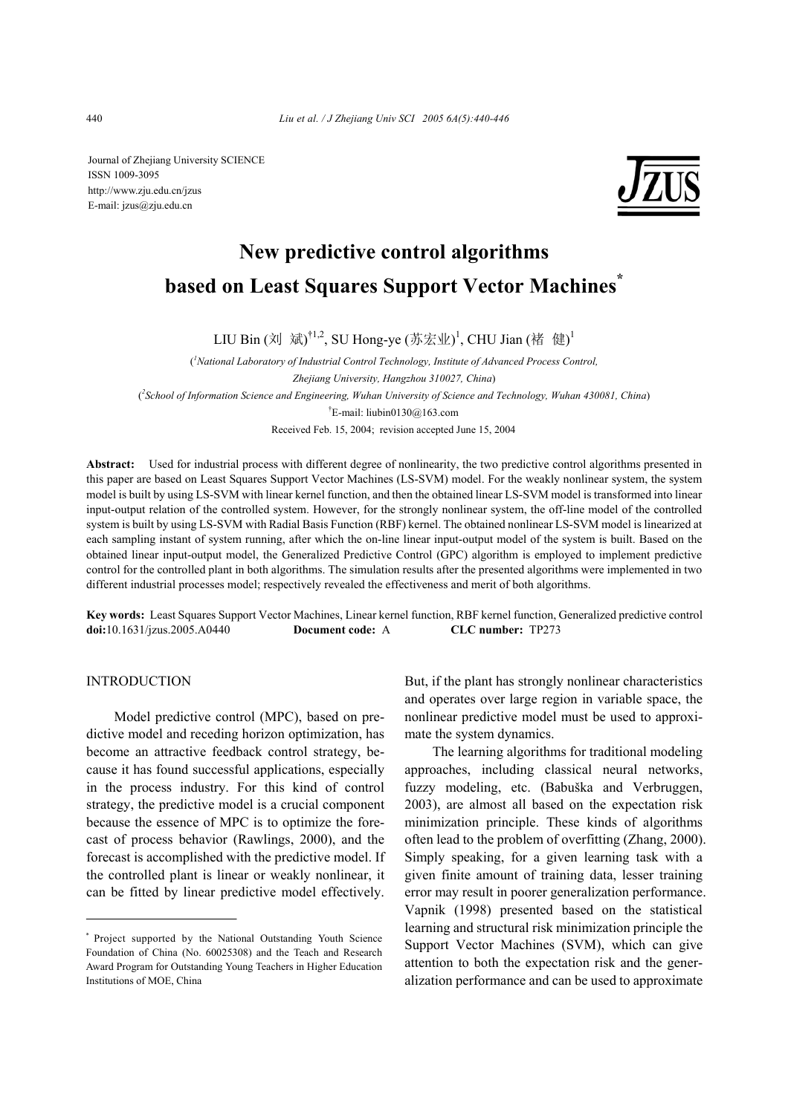Journal of Zhejiang University SCIENCE ISSN 1009-3095 http://www.zju.edu.cn/jzus E-mail: jzus@zju.edu.cn



# **New predictive control algorithms based on Least Squares Support Vector Machines\***

LIU Bin (刘 斌)<sup>†1,2</sup>, SU Hong-ye (苏宏业)<sup>1</sup>, CHU Jian (褚 健)<sup>1</sup>

( *1 National Laboratory of Industrial Control Technology, Institute of Advanced Process Control, Zhejiang University, Hangzhou 310027, China*) ( *2 School of Information Science and Engineering, Wuhan University of Science and Technology, Wuhan 430081, China*) † E-mail: liubin0130@163.com Received Feb. 15, 2004; revision accepted June 15, 2004

**Abstract:** Used for industrial process with different degree of nonlinearity, the two predictive control algorithms presented in this paper are based on Least Squares Support Vector Machines (LS-SVM) model. For the weakly nonlinear system, the system model is built by using LS-SVM with linear kernel function, and then the obtained linear LS-SVM model is transformed into linear input-output relation of the controlled system. However, for the strongly nonlinear system, the off-line model of the controlled system is built by using LS-SVM with Radial Basis Function (RBF) kernel. The obtained nonlinear LS-SVM model is linearized at each sampling instant of system running, after which the on-line linear input-output model of the system is built. Based on the obtained linear input-output model, the Generalized Predictive Control (GPC) algorithm is employed to implement predictive control for the controlled plant in both algorithms. The simulation results after the presented algorithms were implemented in two different industrial processes model; respectively revealed the effectiveness and merit of both algorithms.

**Key words:** Least Squares Support Vector Machines, Linear kernel function, RBF kernel function, Generalized predictive control **doi:**10.1631/jzus.2005.A0440 **Document code:** A **CLC number:** TP273

## INTRODUCTION

Model predictive control (MPC), based on predictive model and receding horizon optimization, has become an attractive feedback control strategy, because it has found successful applications, especially in the process industry. For this kind of control strategy, the predictive model is a crucial component because the essence of MPC is to optimize the forecast of process behavior (Rawlings, 2000), and the forecast is accomplished with the predictive model. If the controlled plant is linear or weakly nonlinear, it can be fitted by linear predictive model effectively.

But, if the plant has strongly nonlinear characteristics and operates over large region in variable space, the nonlinear predictive model must be used to approximate the system dynamics.

The learning algorithms for traditional modeling approaches, including classical neural networks, fuzzy modeling, etc. (Babuška and Verbruggen, 2003), are almost all based on the expectation risk minimization principle. These kinds of algorithms often lead to the problem of overfitting (Zhang, 2000). Simply speaking, for a given learning task with a given finite amount of training data, lesser training error may result in poorer generalization performance. Vapnik (1998) presented based on the statistical learning and structural risk minimization principle the Support Vector Machines (SVM), which can give attention to both the expectation risk and the generalization performance and can be used to approximate

<sup>\*</sup> Project supported by the National Outstanding Youth Science Foundation of China (No. 60025308) and the Teach and Research Award Program for Outstanding Young Teachers in Higher Education Institutions of MOE, China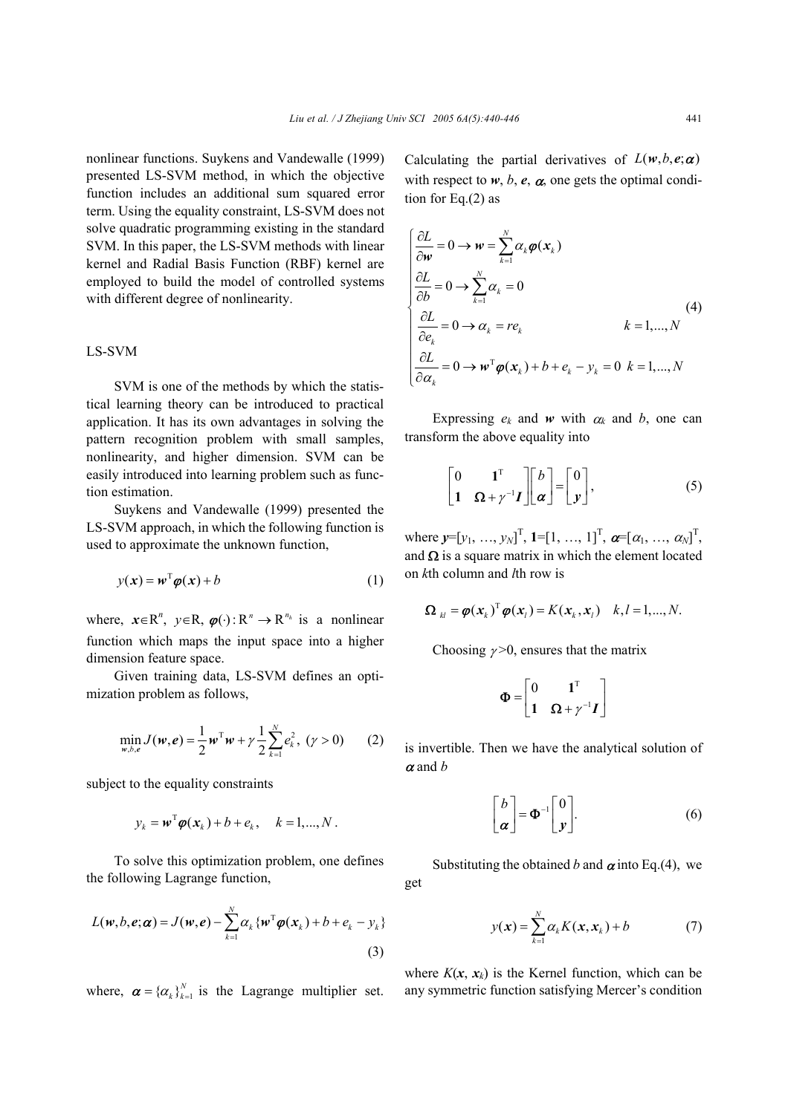nonlinear functions. Suykens and Vandewalle (1999) presented LS-SVM method, in which the objective function includes an additional sum squared error term. Using the equality constraint, LS-SVM does not solve quadratic programming existing in the standard SVM. In this paper, the LS-SVM methods with linear kernel and Radial Basis Function (RBF) kernel are employed to build the model of controlled systems with different degree of nonlinearity.

## LS-SVM

SVM is one of the methods by which the statistical learning theory can be introduced to practical application. It has its own advantages in solving the pattern recognition problem with small samples, nonlinearity, and higher dimension. SVM can be easily introduced into learning problem such as function estimation.

Suykens and Vandewalle (1999) presented the LS-SVM approach, in which the following function is used to approximate the unknown function,

$$
y(x) = w^{\mathrm{T}} \varphi(x) + b \tag{1}
$$

where,  $x \in \mathbb{R}^n$ ,  $y \in \mathbb{R}$ ,  $\varphi(\cdot): \mathbb{R}^n \to \mathbb{R}^{n_h}$  is a nonlinear function which maps the input space into a higher dimension feature space.

Given training data, LS-SVM defines an optimization problem as follows,

$$
\min_{w,b,e} J(w,e) = \frac{1}{2} w^{\mathrm{T}} w + \gamma \frac{1}{2} \sum_{k=1}^{N} e_k^2, \; (\gamma > 0) \qquad (2)
$$

subject to the equality constraints

$$
y_k = \boldsymbol{w}^{\mathrm{T}} \boldsymbol{\varphi}(\boldsymbol{x}_k) + b + e_k, \quad k = 1,...,N.
$$

To solve this optimization problem, one defines the following Lagrange function,

$$
L(\boldsymbol{w}, b, \boldsymbol{e}; \boldsymbol{\alpha}) = J(\boldsymbol{w}, \boldsymbol{e}) - \sum_{k=1}^{N} \alpha_k \{ \boldsymbol{w}^{\mathrm{T}} \boldsymbol{\varphi}(\boldsymbol{x}_k) + b + \boldsymbol{e}_k - \boldsymbol{y}_k \}
$$
\n(3)

where,  $\boldsymbol{\alpha} = {\alpha_k}_{k=1}^{N}$  is the Lagrange multiplier set.

Calculating the partial derivatives of  $L(w, b, e; \alpha)$ with respect to  $w$ ,  $b$ ,  $e$ ,  $\alpha$ , one gets the optimal condition for Eq.(2) as

$$
\begin{cases}\n\frac{\partial L}{\partial w} = 0 \to w = \sum_{k=1}^{N} \alpha_k \varphi(x_k) \\
\frac{\partial L}{\partial b} = 0 \to \sum_{k=1}^{N} \alpha_k = 0\n\end{cases}
$$
\n
$$
\begin{cases}\n\frac{\partial L}{\partial e_k} = 0 \to \alpha_k = re_k & k = 1, ..., N \\
\frac{\partial L}{\partial \alpha_k} = 0 \to w^{\mathrm{T}} \varphi(x_k) + b + e_k - y_k = 0 & k = 1, ..., N\n\end{cases}
$$
\n(4)

Expressing  $e_k$  and  $w$  with  $\alpha_k$  and  $b$ , one can transform the above equality into

$$
\begin{bmatrix} 0 & 1^{\mathrm{T}} \\ 1 & \Omega + \gamma^{-1} I \end{bmatrix} \begin{bmatrix} b \\ \alpha \end{bmatrix} = \begin{bmatrix} 0 \\ y \end{bmatrix}, \tag{5}
$$

where  $y=[y_1, ..., y_N]^T$ ,  $1=[1, ..., 1]^T$ ,  $\boldsymbol{\alpha}=[\alpha_1, ..., \alpha_N]^T$ , and  $\Omega$  is a square matrix in which the element located on *k*th column and *l*th row is

$$
\mathbf{\Omega}_{kl} = \boldsymbol{\varphi}(\mathbf{x}_k)^{\mathrm{T}} \boldsymbol{\varphi}(\mathbf{x}_l) = K(\mathbf{x}_k, \mathbf{x}_l) \quad k, l = 1, ..., N.
$$

Choosing  $\nu > 0$ , ensures that the matrix

$$
\mathbf{\Phi} = \begin{bmatrix} 0 & \mathbf{1}^{\mathrm{T}} \\ \mathbf{1} & \mathbf{\Omega} + \gamma^{-1} \mathbf{I} \end{bmatrix}
$$

is invertible. Then we have the analytical solution of <sup>α</sup> and *b*

$$
\begin{bmatrix} b \\ \alpha \end{bmatrix} = \Phi^{-1} \begin{bmatrix} 0 \\ y \end{bmatrix}.
$$
 (6)

Substituting the obtained *b* and  $\alpha$  into Eq.(4), we get

$$
y(\mathbf{x}) = \sum_{k=1}^{N} \alpha_k K(\mathbf{x}, \mathbf{x}_k) + b \tag{7}
$$

where  $K(x, x_k)$  is the Kernel function, which can be any symmetric function satisfying Mercer's condition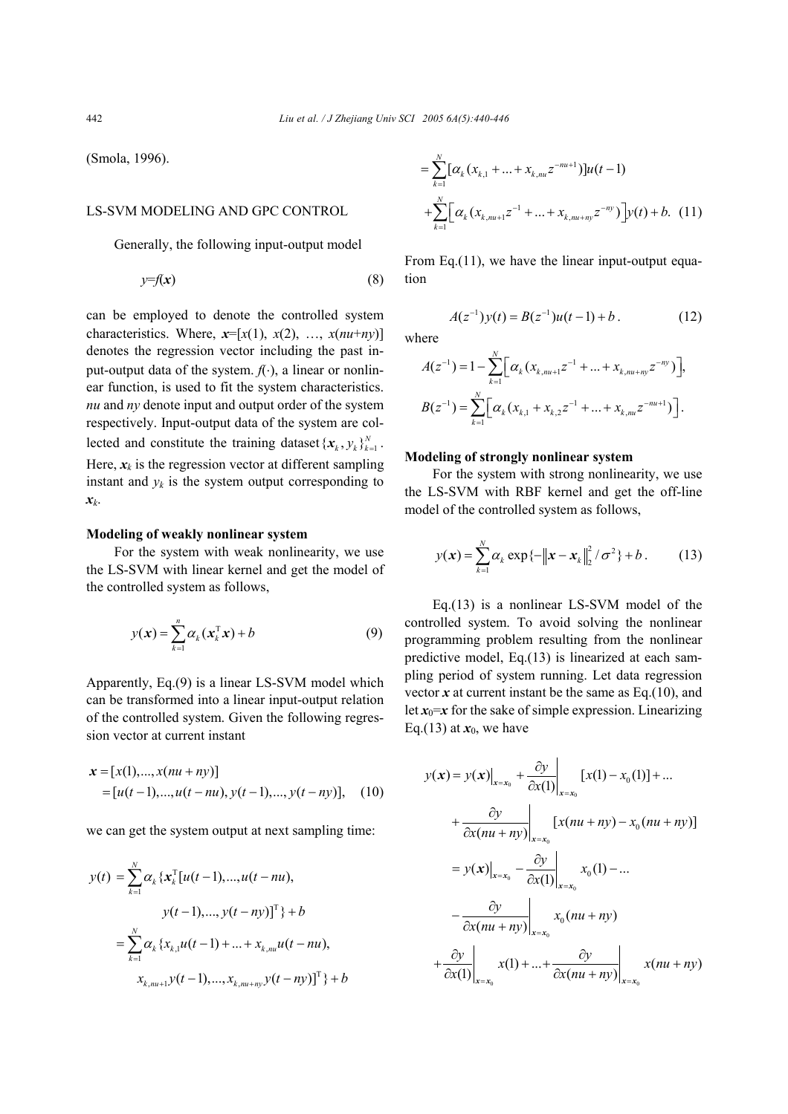(Smola, 1996).

## LS-SVM MODELING AND GPC CONTROL

Generally, the following input-output model

$$
y=f(x) \tag{8}
$$

can be employed to denote the controlled system characteristics. Where,  $x=[x(1), x(2), ..., x(nu+ny)]$ denotes the regression vector including the past input-output data of the system. *f*(⋅), a linear or nonlinear function, is used to fit the system characteristics. *nu* and *ny* denote input and output order of the system respectively. Input-output data of the system are collected and constitute the training dataset  $\{x_k, y_k\}_{k=1}^N$ . Here,  $x_k$  is the regression vector at different sampling instant and  $y_k$  is the system output corresponding to *xk*.

## **Modeling of weakly nonlinear system**

For the system with weak nonlinearity, we use the LS-SVM with linear kernel and get the model of the controlled system as follows,

$$
y(\mathbf{x}) = \sum_{k=1}^{n} \alpha_k(\mathbf{x}_k^{\mathrm{T}} \mathbf{x}) + b \tag{9}
$$

Apparently, Eq.(9) is a linear LS-SVM model which can be transformed into a linear input-output relation of the controlled system. Given the following regression vector at current instant

$$
\mathbf{x} = [x(1), ..., x(nu + ny)]
$$
  
= [u(t-1), ..., u(t-nu), y(t-1), ..., y(t-ny)], (10)

we can get the system output at next sampling time:

$$
y(t) = \sum_{k=1}^{N} \alpha_k \{x_k^{\mathrm{T}}[u(t-1),...,u(t-nu),\ny(t-1),...,y(t-ny)]^{\mathrm{T}}\} + b
$$
  

$$
= \sum_{k=1}^{N} \alpha_k \{x_{k,1}u(t-1) + ... + x_{k,nu}u(t-nu),x_{k,nu+1}y(t-1),...,x_{k,nu+ny}y(t-ny)]^{\mathrm{T}}\} + b
$$

$$
= \sum_{k=1}^{N} [\alpha_k (x_{k,1} + ... + x_{k,m} z^{-m+1})] u(t-1)
$$
  
+
$$
\sum_{k=1}^{N} [\alpha_k (x_{k,m+1} z^{-1} + ... + x_{k,m+m} z^{-ny})] y(t) + b. (11)
$$

From Eq.(11), we have the linear input-output equation

$$
A(z^{-1})y(t) = B(z^{-1})u(t-1) + b.
$$
 (12)

where

$$
A(z^{-1}) = 1 - \sum_{k=1}^{N} \Big[ \alpha_k (x_{k, nu+1} z^{-1} + \dots + x_{k, nu+ny} z^{-ny}) \Big],
$$
  

$$
B(z^{-1}) = \sum_{k=1}^{N} \Big[ \alpha_k (x_{k,1} + x_{k,2} z^{-1} + \dots + x_{k, nu} z^{-nu+1}) \Big].
$$

## **Modeling of strongly nonlinear system**

For the system with strong nonlinearity, we use the LS-SVM with RBF kernel and get the off-line model of the controlled system as follows,

$$
y(\mathbf{x}) = \sum_{k=1}^{N} \alpha_k \exp\{-\|\mathbf{x} - \mathbf{x}_k\|_2^2 / \sigma^2\} + b. \tag{13}
$$

Eq.(13) is a nonlinear LS-SVM model of the controlled system. To avoid solving the nonlinear programming problem resulting from the nonlinear predictive model, Eq.(13) is linearized at each sampling period of system running. Let data regression vector  $x$  at current instant be the same as Eq.(10), and let  $x_0=x$  for the sake of simple expression. Linearizing Eq.(13) at  $x_0$ , we have

$$
y(x) = y(x)|_{x=x_0} + \frac{\partial y}{\partial x(1)}|_{x=x_0} [x(1) - x_0(1)] + ...
$$
  
+ 
$$
\frac{\partial y}{\partial x(nu + ny)}|_{x=x_0} [x(nu + ny) - x_0(nu + ny)]
$$
  
= 
$$
y(x)|_{x=x_0} - \frac{\partial y}{\partial x(1)}|_{x=x_0} x_0(1) - ...
$$
  
- 
$$
\frac{\partial y}{\partial x(nu + ny)}|_{x=x_0} x_0(nu + ny)
$$
  
+ 
$$
\frac{\partial y}{\partial x(1)}|_{x=x_0} x(1) + ... + \frac{\partial y}{\partial x(nu + ny)}|_{x=x_0} x(nu + ny)
$$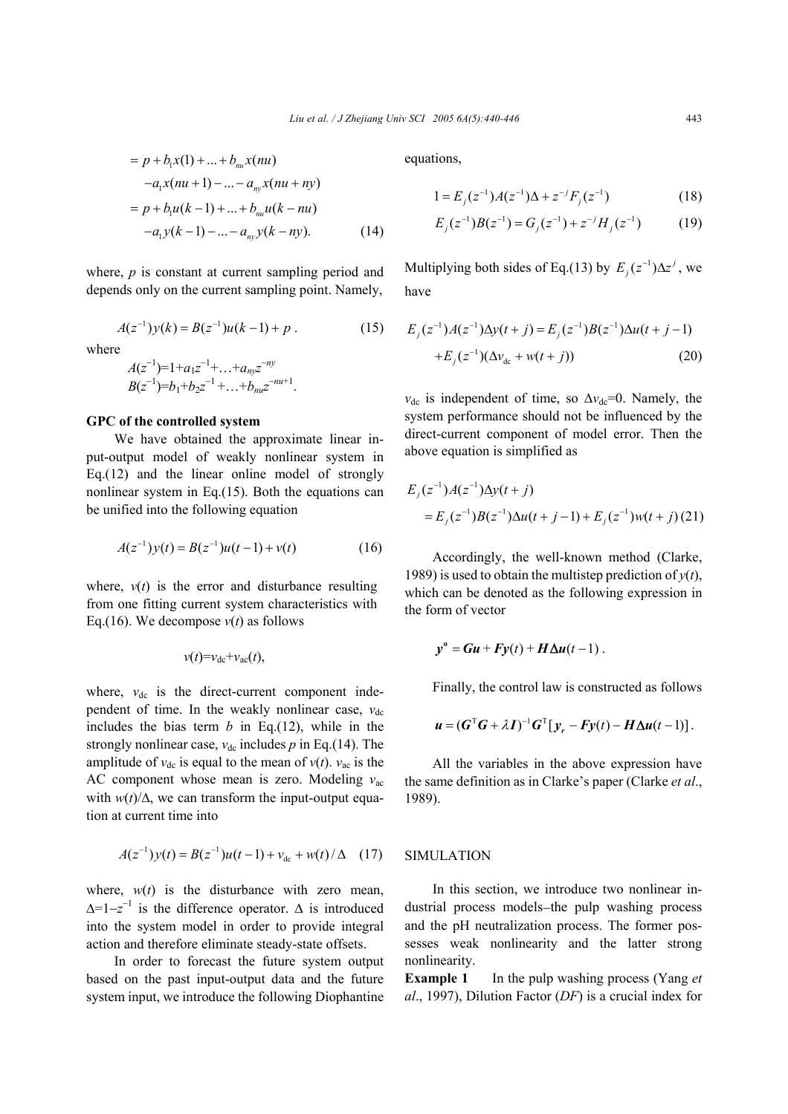$$
= p + b_1 x(1) + ... + b_{nu} x(nu)
$$
  
\n
$$
-a_1 x(nu + 1) - ... - a_{nv} x(nu + ny)
$$
  
\n
$$
= p + b_1 u(k-1) + ... + b_{nu} u(k - nu)
$$
  
\n
$$
-a_1 y(k-1) - ... - a_{nv} y(k - ny).
$$
 (14)

where, *p* is constant at current sampling period and depends only on the current sampling point. Namely,

$$
A(z^{-1})y(k) = B(z^{-1})u(k-1) + p.
$$
 (15)

where

$$
A(z^{-1})=1+a_1z^{-1}+\ldots+a_mz^{-ny}
$$
  
\n
$$
B(z^{-1})=b_1+b_2z^{-1}+\ldots+b_mz^{-nu+1}.
$$

#### **GPC of the controlled system**

We have obtained the approximate linear input-output model of weakly nonlinear system in Eq.(12) and the linear online model of strongly nonlinear system in Eq.(15). Both the equations can be unified into the following equation

$$
A(z^{-1})y(t) = B(z^{-1})u(t-1) + v(t)
$$
 (16)

where,  $v(t)$  is the error and disturbance resulting from one fitting current system characteristics with Eq.(16). We decompose  $v(t)$  as follows

$$
v(t) = v_{\rm dc} + v_{\rm ac}(t),
$$

where,  $v_{dc}$  is the direct-current component independent of time. In the weakly nonlinear case,  $v_{dc}$ includes the bias term  $b$  in Eq.(12), while in the strongly nonlinear case,  $v_{dc}$  includes  $p$  in Eq.(14). The amplitude of  $v_{dc}$  is equal to the mean of  $v(t)$ .  $v_{ac}$  is the AC component whose mean is zero. Modeling *v*ac with  $w(t)/\Delta$ , we can transform the input-output equation at current time into

$$
A(z^{-1})y(t) = B(z^{-1})u(t-1) + v_{dc} + w(t)/\Delta \quad (17)
$$

where,  $w(t)$  is the disturbance with zero mean,  $\Delta = 1 - z^{-1}$  is the difference operator.  $\Delta$  is introduced into the system model in order to provide integral action and therefore eliminate steady-state offsets.

In order to forecast the future system output based on the past input-output data and the future system input, we introduce the following Diophantine

equations,

$$
1 = E_j(z^{-1})A(z^{-1})\Delta + z^{-j}F_j(z^{-1})
$$
 (18)

$$
E_j(z^{-1})B(z^{-1}) = G_j(z^{-1}) + z^{-j}H_j(z^{-1})
$$
 (19)

Multiplying both sides of Eq.(13) by  $E_j(z^{-1})\Delta z^j$ , we have

$$
E_j(z^{-1})A(z^{-1})\Delta y(t+j) = E_j(z^{-1})B(z^{-1})\Delta u(t+j-1)
$$
  
+
$$
E_j(z^{-1})(\Delta v_{dc} + w(t+j))
$$
 (20)

 $v_{dc}$  is independent of time, so  $\Delta v_{dc}$ =0. Namely, the system performance should not be influenced by the direct-current component of model error. Then the above equation is simplified as

$$
E_j(z^{-1})A(z^{-1})\Delta y(t+j)
$$
  
=  $E_j(z^{-1})B(z^{-1})\Delta u(t+j-1) + E_j(z^{-1})w(t+j)$  (21)

Accordingly, the well-known method (Clarke, 1989) is used to obtain the multistep prediction of  $v(t)$ . which can be denoted as the following expression in the form of vector

$$
y^{\circ} = Gu + Fy(t) + H\Delta u(t-1).
$$

Finally, the control law is constructed as follows

$$
\boldsymbol{u} = (\boldsymbol{G}^{\mathrm{T}}\boldsymbol{G} + \lambda \boldsymbol{I})^{-1}\boldsymbol{G}^{\mathrm{T}}[\boldsymbol{y}_r - \boldsymbol{F}\boldsymbol{y}(t) - \boldsymbol{H}\boldsymbol{\Delta u}(t-1)].
$$

All the variables in the above expression have the same definition as in Clarke's paper (Clarke *et al*., 1989).

### SIMULATION

In this section, we introduce two nonlinear industrial process models−the pulp washing process and the pH neutralization process. The former possesses weak nonlinearity and the latter strong nonlinearity.

**Example 1** In the pulp washing process (Yang *et al*., 1997), Dilution Factor (*DF*) is a crucial index for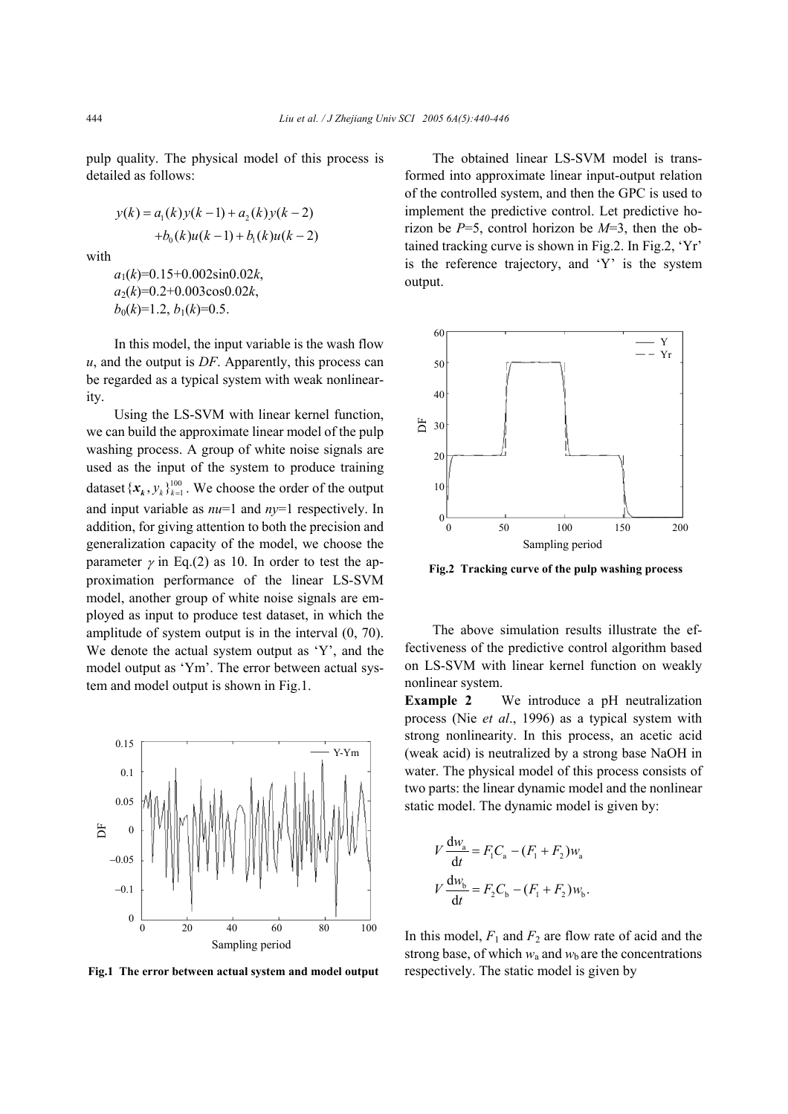pulp quality. The physical model of this process is detailed as follows:

$$
y(k) = a_1(k)y(k-1) + a_2(k)y(k-2)
$$
  
+b<sub>0</sub>(k)u(k-1) + b<sub>1</sub>(k)u(k-2)

with

*a*1(*k*)=0.15+0.002sin0.02*k*,  $a_2(k)=0.2+0.003\cos 0.02k$  $b_0(k)=1.2, b_1(k)=0.5.$ 

In this model, the input variable is the wash flow *u*, and the output is *DF*. Apparently, this process can be regarded as a typical system with weak nonlinearity.

Using the LS-SVM with linear kernel function, we can build the approximate linear model of the pulp washing process. A group of white noise signals are used as the input of the system to produce training dataset  $\{x_k, y_k\}_{k=1}^{100}$ . We choose the order of the output and input variable as *nu*=1 and *ny*=1 respectively. In addition, for giving attention to both the precision and generalization capacity of the model, we choose the parameter  $\gamma$  in Eq.(2) as 10. In order to test the approximation performance of the linear LS-SVM model, another group of white noise signals are employed as input to produce test dataset, in which the amplitude of system output is in the interval (0, 70). We denote the actual system output as 'Y', and the model output as 'Ym'. The error between actual system and model output is shown in Fig.1.



The obtained linear LS-SVM model is transformed into approximate linear input-output relation of the controlled system, and then the GPC is used to implement the predictive control. Let predictive horizon be *P*=5, control horizon be *M*=3, then the obtained tracking curve is shown in Fig.2. In Fig.2, 'Yr' is the reference trajectory, and 'Y' is the system output.



**Fig.2 Tracking curve of the pulp washing process** 

The above simulation results illustrate the effectiveness of the predictive control algorithm based on LS-SVM with linear kernel function on weakly nonlinear system.

**Example 2** We introduce a pH neutralization process (Nie *et al*., 1996) as a typical system with strong nonlinearity. In this process, an acetic acid (weak acid) is neutralized by a strong base NaOH in water. The physical model of this process consists of two parts: the linear dynamic model and the nonlinear static model. The dynamic model is given by:

$$
V \frac{dw_a}{dt} = F_1 C_a - (F_1 + F_2) w_a
$$
  

$$
V \frac{dw_b}{dt} = F_2 C_b - (F_1 + F_2) w_b.
$$

In this model,  $F_1$  and  $F_2$  are flow rate of acid and the strong base, of which  $w_a$  and  $w_b$  are the concentrations **Fig.1 The error between actual system and model output** respectively. The static model is given by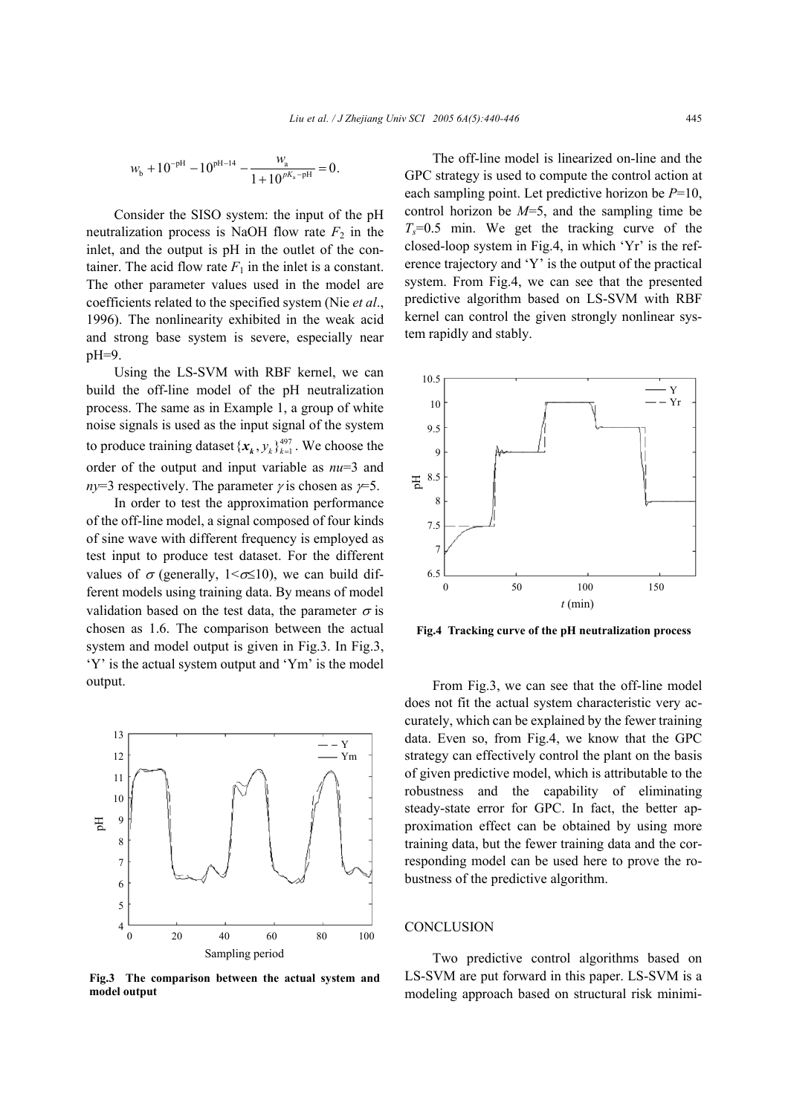$$
w_{\text{b}} + 10^{-\text{pH}} - 10^{\text{pH}-14} - \frac{w_{\text{a}}}{1 + 10^{pK_{\text{a}} - \text{pH}}} = 0.
$$

Consider the SISO system: the input of the pH neutralization process is NaOH flow rate  $F_2$  in the inlet, and the output is pH in the outlet of the container. The acid flow rate  $F_1$  in the inlet is a constant. The other parameter values used in the model are coefficients related to the specified system (Nie *et al*., 1996). The nonlinearity exhibited in the weak acid and strong base system is severe, especially near pH=9.

Using the LS-SVM with RBF kernel, we can build the off-line model of the pH neutralization process. The same as in Example 1, a group of white noise signals is used as the input signal of the system to produce training dataset  $\{x_k, y_k\}_{k=1}^{497}$ . We choose the order of the output and input variable as *nu*=3 and *ny*=3 respectively. The parameter  $\gamma$  is chosen as  $\gamma$ =5.

In order to test the approximation performance of the off-line model, a signal composed of four kinds of sine wave with different frequency is employed as test input to produce test dataset. For the different values of  $\sigma$  (generally, 1< $\sigma \leq 10$ ), we can build different models using training data. By means of model validation based on the test data, the parameter  $\sigma$  is chosen as 1.6. The comparison between the actual system and model output is given in Fig.3. In Fig.3, 'Y' is the actual system output and 'Ym' is the model output.



**Fig.3 The comparison between the actual system and model output**

The off-line model is linearized on-line and the GPC strategy is used to compute the control action at each sampling point. Let predictive horizon be *P*=10, control horizon be *M*=5, and the sampling time be  $T_s = 0.5$  min. We get the tracking curve of the closed-loop system in Fig.4, in which 'Yr' is the reference trajectory and 'Y' is the output of the practical system. From Fig.4, we can see that the presented predictive algorithm based on LS-SVM with RBF kernel can control the given strongly nonlinear system rapidly and stably.



**Fig.4 Tracking curve of the pH neutralization process**

From Fig.3, we can see that the off-line model does not fit the actual system characteristic very accurately, which can be explained by the fewer training data. Even so, from Fig.4, we know that the GPC strategy can effectively control the plant on the basis of given predictive model, which is attributable to the robustness and the capability of eliminating steady-state error for GPC. In fact, the better approximation effect can be obtained by using more training data, but the fewer training data and the corresponding model can be used here to prove the robustness of the predictive algorithm.

#### **CONCLUSION**

Two predictive control algorithms based on LS-SVM are put forward in this paper. LS-SVM is a modeling approach based on structural risk minimi